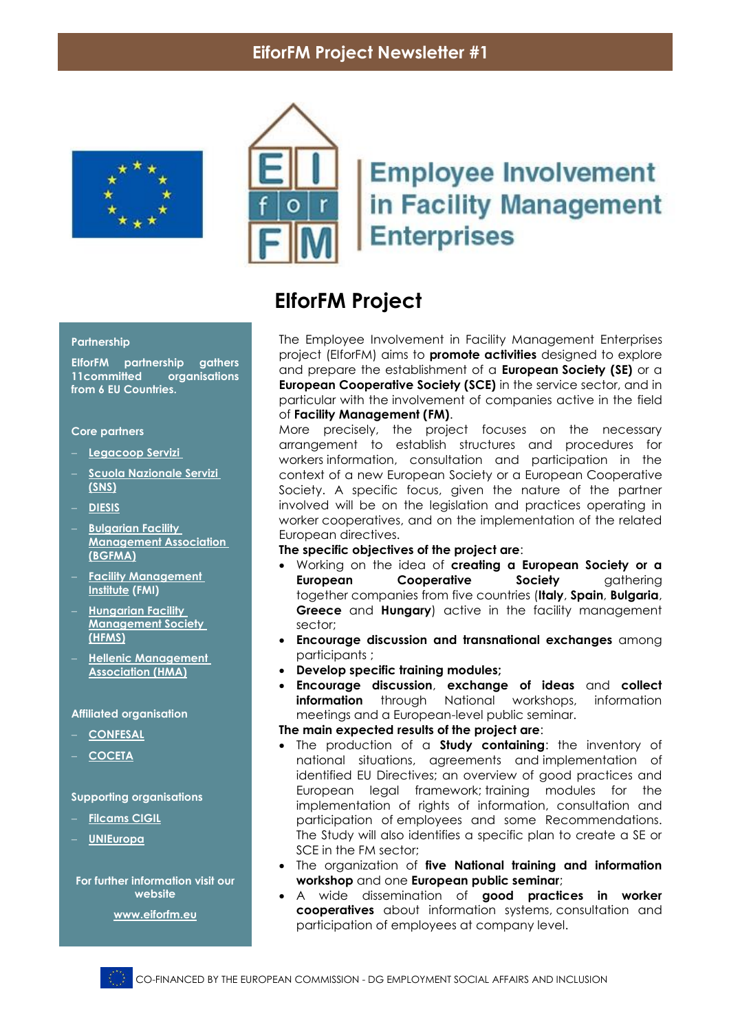## **EiforFM Project Newsletter #1**





# **Employee Involvement** in Facility Management **Enterprises**

## **EIforFM Project**

The Employee Involvement in Facility Management Enterprises project (EIforFM) aims to **promote activities** designed to explore and prepare the establishment of a **European Society (SE)** or a **European Cooperative Society (SCE)** in the service sector, and in particular with the involvement of companies active in the field of **Facility Management (FM)**.

More precisely, the project focuses on the necessary arrangement to establish structures and procedures for workers information, consultation and participation in the context of a new European Society or a European Cooperative Society. A specific focus, given the nature of the partner involved will be on the legislation and practices operating in worker cooperatives, and on the implementation of the related European directives.

**The specific objectives of the project are**:

- Working on the idea of **creating a European Society or a European Cooperative Society** gathering together companies from five countries (**Italy**, **Spain**, **Bulgaria**, **Greece** and **Hungary**) active in the facility management sector;
- **Encourage discussion and transnational exchanges** among participants ;
- **Develop specific training modules;**
- **Encourage discussion**, **exchange of ideas** and **collect information** through National workshops, information meetings and a European-level public seminar.

#### **The main expected results of the project are**:

- The production of a **Study containing**: the inventory of national situations, agreements and implementation of identified EU Directives; an overview of good practices and European legal framework; training modules for the implementation of rights of information, consultation and participation of employees and some Recommendations. The Study will also identifies a specific plan to create a SE or SCE in the FM sector;
- The organization of **five National training and information workshop** and one **European public seminar**;
- A wide dissemination of **good practices in worker cooperatives** about information systems, consultation and participation of employees at company level.

#### **Partnership**

**EIforFM partnership gathers 11** organisations **from 6 EU Countries.** 

#### **Core partners**

- **[Legacoop Servizi](http://www.legacoopservizi.coop/)**
- **[Scuola Nazionale Servizi](http://www.scuolanazionaleservizi.it/) [\(SNS\)](http://www.scuolanazionaleservizi.it/)**
- **[DIESIS](http://www.diesis.coop/)**
- **[Bulgarian Facility](http://www.bgfma.bg/)  [Management Association](http://www.bgfma.bg/)  [\(BGFMA\)](http://www.bgfma.bg/)**
- **[Facility Management](http://www.fm-institute.com/)  [Institute](http://www.fm-institute.com/) (FMI)**
- **[Hungarian Facility](http://www.hfms.org.hu/web/)  [Management Society](http://www.hfms.org.hu/web/)  [\(HFMS\)](http://www.hfms.org.hu/web/)**
- **Hellenic Management [Association \(HMA\)](http://www.eede.gr/)**

#### **Affiliated organisation**

- **[CONFESAL](http://www.confesal.com/)**
- **[COCETA](http://www.coceta.coop/)**

#### **Supporting organisations**

- **[Filcams CIGIL](http://www.cgil.it/)**
- **[UNIEuropa](http://www.uniglobalunion.org/regions/uni-europa/news)**

**For further information visit our website**

**[www.eiforfm.eu](http://www.eiforfm.eu/)**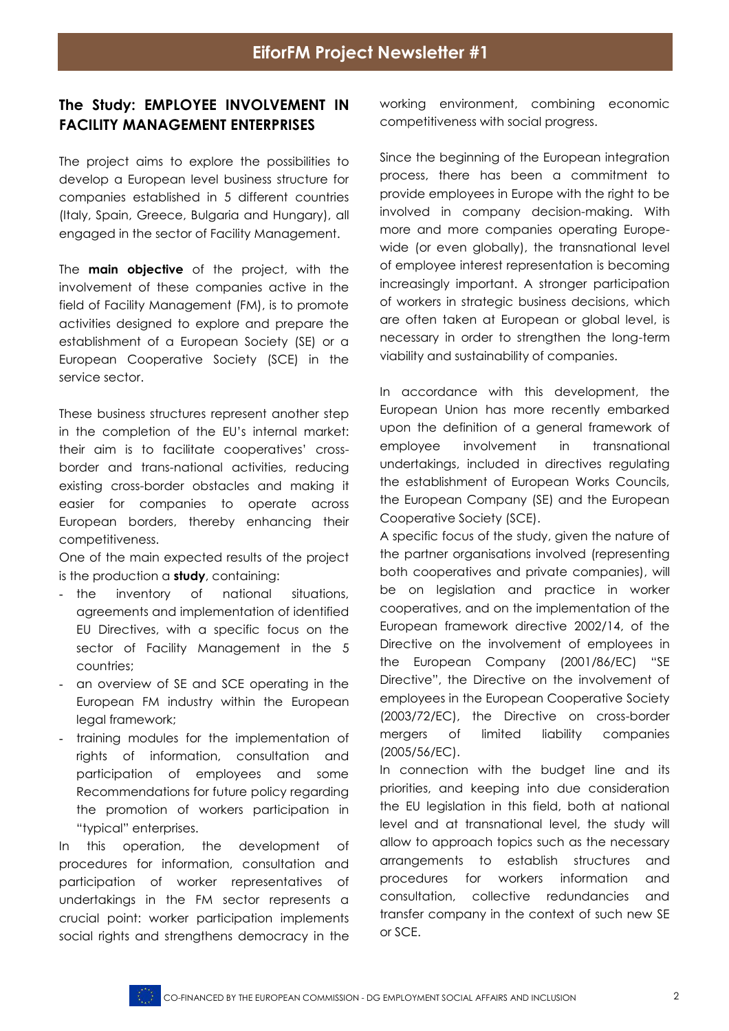### **The Study: EMPLOYEE INVOLVEMENT IN FACILITY MANAGEMENT ENTERPRISES**

The project aims to explore the possibilities to develop a European level business structure for companies established in 5 different countries (Italy, Spain, Greece, Bulgaria and Hungary), all engaged in the sector of Facility Management.

The **main objective** of the project, with the involvement of these companies active in the field of Facility Management (FM), is to promote activities designed to explore and prepare the establishment of a European Society (SE) or a European Cooperative Society (SCE) in the service sector.

These business structures represent another step in the completion of the EU's internal market: their aim is to facilitate cooperatives' crossborder and trans-national activities, reducing existing cross-border obstacles and making it easier for companies to operate across European borders, thereby enhancing their competitiveness.

One of the main expected results of the project is the production a **study**, containing:

- the inventory of national situations, agreements and implementation of identified EU Directives, with a specific focus on the sector of Facility Management in the 5 countries;
- an overview of SE and SCE operating in the European FM industry within the European legal framework;
- training modules for the implementation of rights of information, consultation and participation of employees and some Recommendations for future policy regarding the promotion of workers participation in "typical" enterprises.

In this operation, the development of procedures for information, consultation and participation of worker representatives of undertakings in the FM sector represents a crucial point: worker participation implements social rights and strengthens democracy in the

working environment, combining economic competitiveness with social progress.

Since the beginning of the European integration process, there has been a commitment to provide employees in Europe with the right to be involved in company decision-making. With more and more companies operating Europewide (or even globally), the transnational level of employee interest representation is becoming increasingly important. A stronger participation of workers in strategic business decisions, which are often taken at European or global level, is necessary in order to strengthen the long-term viability and sustainability of companies.

In accordance with this development, the European Union has more recently embarked upon the definition of a general framework of employee involvement in transnational undertakings, included in directives regulating the establishment of European Works Councils, the European Company (SE) and the European Cooperative Society (SCE).

A specific focus of the study, given the nature of the partner organisations involved (representing both cooperatives and private companies), will be on legislation and practice in worker cooperatives, and on the implementation of the European framework directive 2002/14, of the Directive on the involvement of employees in the European Company (2001/86/EC) "SE Directive", the Directive on the involvement of employees in the European Cooperative Society (2003/72/EC), the Directive on cross-border mergers of limited liability companies (2005/56/EC).

In connection with the budget line and its priorities, and keeping into due consideration the EU legislation in this field, both at national level and at transnational level, the study will allow to approach topics such as the necessary arrangements to establish structures and procedures for workers information and consultation, collective redundancies and transfer company in the context of such new SE or SCE.

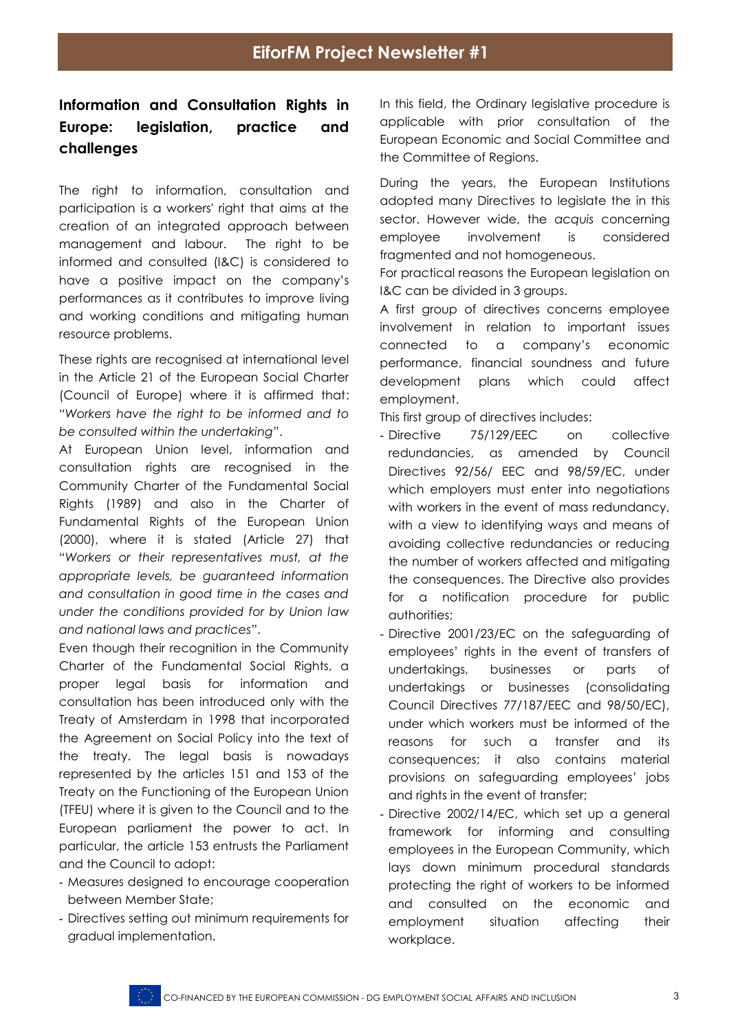## **Information and Consultation Rights in Europe: legislation, practice and challenges**

The right to information, consultation and participation is a workers' right that aims at the creation of an integrated approach between management and labour. The right to be informed and consulted (I&C) is considered to have a positive impact on the company's performances as it contributes to improve living and working conditions and mitigating human resource problems.

These rights are recognised at international level in the Article 21 of the European Social Charter (Council of Europe) where it is affirmed that: "*Workers have the right to be informed and to be consulted within the undertaking*".

At European Union level, information and consultation rights are recognised in the Community Charter of the Fundamental Social Rights (1989) and also in the Charter of Fundamental Rights of the European Union (2000), where it is stated (Article 27) that "*Workers or their representatives must, at the appropriate levels, be guaranteed information and consultation in good time in the cases and under the conditions provided for by Union law and national laws and practices*".

Even though their recognition in the Community Charter of the Fundamental Social Rights, a proper legal basis for information and consultation has been introduced only with the Treaty of Amsterdam in 1998 that incorporated the Agreement on Social Policy into the text of the treaty. The legal basis is nowadays represented by the articles 151 and 153 of the Treaty on the Functioning of the European Union (TFEU) where it is given to the Council and to the European parliament the power to act. In particular, the article 153 entrusts the Parliament and the Council to adopt:

- Measures designed to encourage cooperation between Member State;
- Directives setting out minimum requirements for gradual implementation.

In this field, the Ordinary legislative procedure is applicable with prior consultation of the European Economic and Social Committee and the Committee of Regions.

During the years, the European Institutions adopted many Directives to legislate the in this sector. However wide, the *acquis* concerning employee involvement is considered fragmented and not homogeneous.

For practical reasons the European legislation on I&C can be divided in 3 groups.

A first group of directives concerns employee involvement in relation to important issues connected to a company's economic performance, financial soundness and future development plans which could affect employment.

This first group of directives includes:

- Directive 75/129/EEC on collective redundancies, as amended by Council Directives 92/56/ EEC and 98/59/EC, under which employers must enter into negotiations with workers in the event of mass redundancy, with a view to identifying ways and means of avoiding collective redundancies or reducing the number of workers affected and mitigating the consequences. The Directive also provides for a notification procedure for public authorities;
- Directive 2001/23/EC on the safeguarding of employees' rights in the event of transfers of undertakings, businesses or parts of undertakings or businesses (consolidating Council Directives 77/187/EEC and 98/50/EC), under which workers must be informed of the reasons for such a transfer and its consequences; it also contains material provisions on safeguarding employees' jobs and rights in the event of transfer;
- Directive 2002/14/EC, which set up a general framework for informing and consulting employees in the European Community, which lays down minimum procedural standards protecting the right of workers to be informed and consulted on the economic and employment situation affecting their workplace.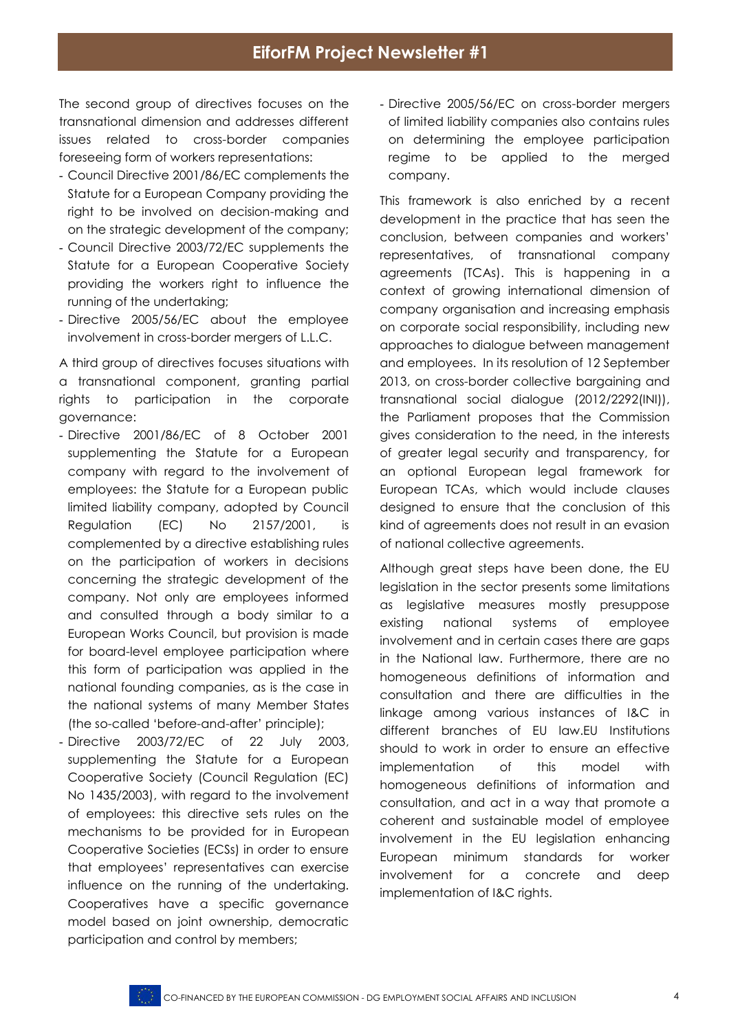The second group of directives focuses on the transnational dimension and addresses different issues related to cross-border companies foreseeing form of workers representations:

- Council Directive 2001/86/EC complements the Statute for a European Company providing the right to be involved on decision-making and on the strategic development of the company;
- Council Directive 2003/72/EC supplements the Statute for a European Cooperative Society providing the workers right to influence the running of the undertaking;
- Directive 2005/56/EC about the employee involvement in cross-border mergers of L.L.C.

A third group of directives focuses situations with a transnational component, granting partial rights to participation in the corporate governance:

- Directive 2001/86/EC of 8 October 2001 supplementing the Statute for a European company with regard to the involvement of employees: the Statute for a European public limited liability company, adopted by Council Regulation (EC) No 2157/2001, is complemented by a directive establishing rules on the participation of workers in decisions concerning the strategic development of the company. Not only are employees informed and consulted through a body similar to a European Works Council, but provision is made for board-level employee participation where this form of participation was applied in the national founding companies, as is the case in the national systems of many Member States (the so-called 'before-and-after' principle);
- Directive 2003/72/EC of 22 July 2003, supplementing the Statute for a European Cooperative Society (Council Regulation (EC) No 1435/2003), with regard to the involvement of employees: this directive sets rules on the mechanisms to be provided for in European Cooperative Societies (ECSs) in order to ensure that employees' representatives can exercise influence on the running of the undertaking. Cooperatives have a specific governance model based on joint ownership, democratic participation and control by members;

- Directive 2005/56/EC on cross-border mergers of limited liability companies also contains rules on determining the employee participation regime to be applied to the merged company.

This framework is also enriched by a recent development in the practice that has seen the conclusion, between companies and workers' representatives, of transnational company agreements (TCAs). This is happening in a context of growing international dimension of company organisation and increasing emphasis on corporate social responsibility, including new approaches to dialogue between management and employees. In its resolution of 12 September 2013, on cross-border collective bargaining and transnational social dialogue (2012/2292(INI)), the Parliament proposes that the Commission gives consideration to the need, in the interests of greater legal security and transparency, for an optional European legal framework for European TCAs, which would include clauses designed to ensure that the conclusion of this kind of agreements does not result in an evasion of national collective agreements.

Although great steps have been done, the EU legislation in the sector presents some limitations as legislative measures mostly presuppose existing national systems of employee involvement and in certain cases there are gaps in the National law. Furthermore, there are no homogeneous definitions of information and consultation and there are difficulties in the linkage among various instances of I&C in different branches of EU law.EU Institutions should to work in order to ensure an effective implementation of this model with homogeneous definitions of information and consultation, and act in a way that promote a coherent and sustainable model of employee involvement in the EU legislation enhancing European minimum standards for worker involvement for a concrete and deep implementation of I&C rights.